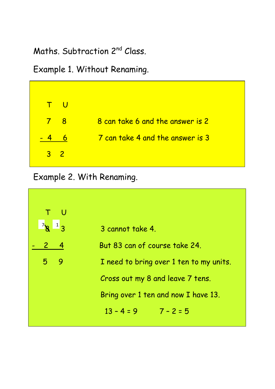Maths. Subtraction 2nd Class.

Example 1. Without Renaming.



Example 2. With Renaming.

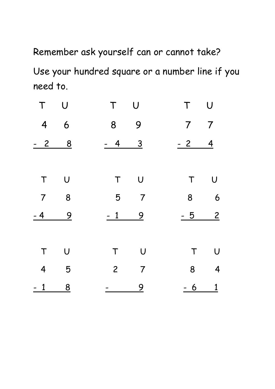Remember ask yourself can or cannot take? Use your hundred square or a number line if you need to.

| T      | $\bigcup$               | T      | $\bigcup$        |   | T U                    |
|--------|-------------------------|--------|------------------|---|------------------------|
|        | 4 6                     |        | 8 9              |   | $7 7$                  |
| $-2$ 8 |                         |        | $-4$ 3           |   | $-2$ 4                 |
|        |                         |        |                  |   |                        |
| T      | $\bigcup$               | T      | $\bigcup$        | T | $\bigcup$              |
|        | $7 \qquad 8$            |        | 5 <sub>7</sub>   |   | 8 6                    |
| $-4$   | $\frac{9}{2}$           | $-1$   | $\overline{9}$   |   | $\overline{2}$<br>$-5$ |
|        |                         |        |                  |   |                        |
| T      | $\bigcup$               | $\top$ | $\bigcup$        |   | $\bigcup$<br>$\top$    |
|        | 4 5                     |        | $2 \overline{7}$ |   | $8 \qquad 4$           |
| $-1$   | $\overline{\mathbf{8}}$ |        | $\overline{9}$   |   | $-6$ 1                 |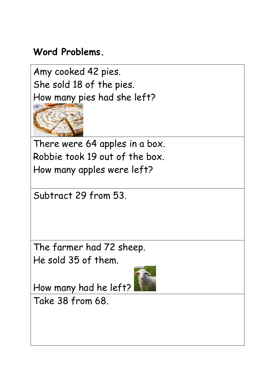## **Word Problems.**

Amy cooked 42 pies. She sold 18 of the pies. How many pies had she left?



There were 64 apples in a box. Robbie took 19 out of the box. How many apples were left?

Subtract 29 from 53.

The farmer had 72 sheep. He sold 35 of them.

How many had he left?

Take 38 from 68.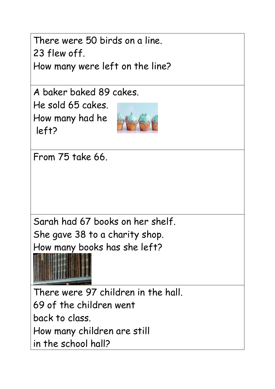There were 50 birds on a line. 23 flew off.

How many were left on the line?

A baker baked 89 cakes.

He sold 65 cakes. How many had he left?



From 75 take 66.

Sarah had 67 books on her shelf. She gave 38 to a charity shop. How many books has she left?



There were 97 children in the hall. 69 of the children went back to class. How many children are still in the school hall?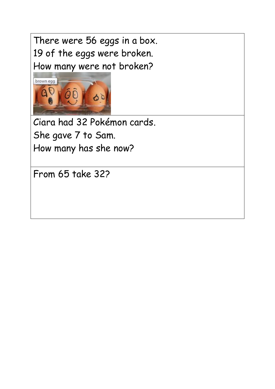There were 56 eggs in a box. 19 of the eggs were broken. How many were not broken?



Ciara had 32 Pokémon cards. She gave 7 to Sam. How many has she now?

From 65 take 32?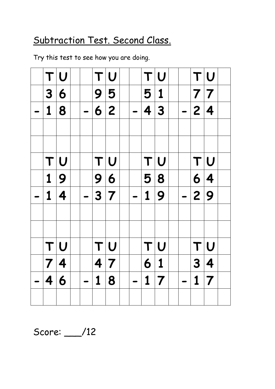## Subtraction Test. Second Class.

Try this test to see how you are doing.

|             | TU                  |                         | TU                      |  |             | TU                      |  |             | T U                     |  |
|-------------|---------------------|-------------------------|-------------------------|--|-------------|-------------------------|--|-------------|-------------------------|--|
| 3           | 6                   | 9                       | 5                       |  | 5 1         |                         |  | 7 7         |                         |  |
|             |                     |                         |                         |  |             |                         |  |             |                         |  |
| $\mathbf 1$ | 8                   |                         | 6 2                     |  |             | 4 3                     |  | 2 4         |                         |  |
|             |                     |                         |                         |  |             |                         |  |             |                         |  |
|             |                     |                         |                         |  |             |                         |  |             |                         |  |
| T           | $ \bm{\mathsf{U}} $ | T                       | $\bigcup$               |  | T           | $ \bm{\mathsf{U}} $     |  |             | T U                     |  |
| $\mathbf 1$ | 9                   | 9                       | 6                       |  | 5           | $\vert 8$               |  |             | 6 4                     |  |
| 1           | 4                   |                         | 3 7                     |  | $\mathbf 1$ | $\overline{9}$          |  | 2 9         |                         |  |
|             |                     |                         |                         |  |             |                         |  |             |                         |  |
|             |                     |                         |                         |  |             |                         |  |             |                         |  |
| T           | $ \bm{\mathsf{U}} $ |                         | T U                     |  | T           | $ \bm{\mathsf{U}} $     |  |             | $\mathsf{T} \mathsf{U}$ |  |
| 7 4         |                     | $\overline{\mathbf{4}}$ | $\overline{\mathbf{7}}$ |  | 6           | $\vert$ 1               |  | 3           | $\vert 4$               |  |
| 4           | 6                   | $\mathbf 1$             | 8                       |  | $\mathbf 1$ | $\overline{\mathbf{7}}$ |  | $\mathbf 1$ | $\overline{\mathbf{7}}$ |  |
|             |                     |                         |                         |  |             |                         |  |             |                         |  |

Score: \_\_\_/12